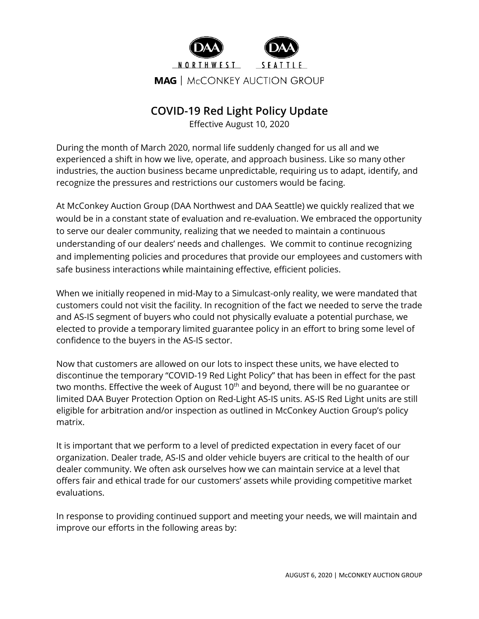

## **COVID-19 Red Light Policy Update**

Effective August 10, 2020

During the month of March 2020, normal life suddenly changed for us all and we experienced a shift in how we live, operate, and approach business. Like so many other industries, the auction business became unpredictable, requiring us to adapt, identify, and recognize the pressures and restrictions our customers would be facing.

At McConkey Auction Group (DAA Northwest and DAA Seattle) we quickly realized that we would be in a constant state of evaluation and re-evaluation. We embraced the opportunity to serve our dealer community, realizing that we needed to maintain a continuous understanding of our dealers' needs and challenges. We commit to continue recognizing and implementing policies and procedures that provide our employees and customers with safe business interactions while maintaining effective, efficient policies.

When we initially reopened in mid-May to a Simulcast-only reality, we were mandated that customers could not visit the facility. In recognition of the fact we needed to serve the trade and AS-IS segment of buyers who could not physically evaluate a potential purchase, we elected to provide a temporary limited guarantee policy in an effort to bring some level of confidence to the buyers in the AS-IS sector.

Now that customers are allowed on our lots to inspect these units, we have elected to discontinue the temporary "COVID-19 Red Light Policy" that has been in effect for the past two months. Effective the week of August  $10<sup>th</sup>$  and beyond, there will be no guarantee or limited DAA Buyer Protection Option on Red-Light AS-IS units. AS-IS Red Light units are still eligible for arbitration and/or inspection as outlined in McConkey Auction Group's policy matrix.

It is important that we perform to a level of predicted expectation in every facet of our organization. Dealer trade, AS-IS and older vehicle buyers are critical to the health of our dealer community. We often ask ourselves how we can maintain service at a level that offers fair and ethical trade for our customers' assets while providing competitive market evaluations.

In response to providing continued support and meeting your needs, we will maintain and improve our efforts in the following areas by: